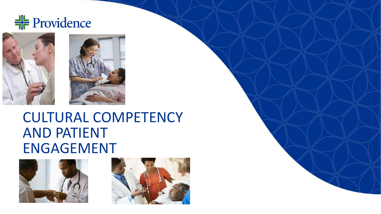## Providence



### CULTURAL COMPETENCY AND PATIENT ENGAGEMENT



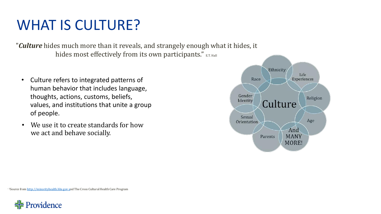## WHAT IS CULTURE?

"*Culture* hides much more than it reveals, and strangely enough what it hides, it hides most effectively from its own participants." E.T. Hall

- Culture refers to integrated patterns of human behavior that includes language, thoughts, actions, customs, beliefs, values, and institutions that unite a group of people.
- We use it to create standards for how we act and behave socially.



- <sup>1</sup>Source from [http://minorityhealth.hhs.gov](http://minorityhealth.hhs.gov/) and The Cross Cultural Health Care Program

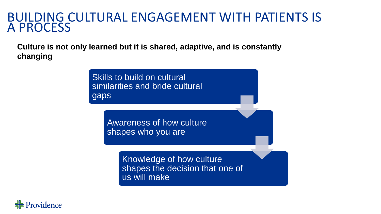### BUILDING CULTURAL ENGAGEMENT WITH PATIENTS IS A PROCESS

**Culture is not only learned but it is shared, adaptive, and is constantly changing**

> Skills to build on cultural similarities and bride cultural gaps

> > Awareness of how culture shapes who you are

> > > Knowledge of how culture shapes the decision that one of us will make

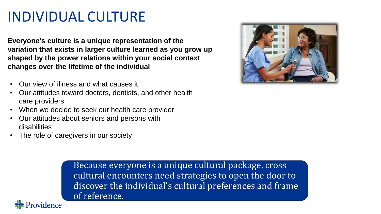### INDIVIDUAL CULTURE

**Everyone's culture is a unique representation of the variation that exists in larger culture learned as you grow up shaped by the power relations within your social context changes over the lifetime of the individual**

- Our view of illness and what causes it
- Our attitudes toward doctors, dentists, and other health care providers
- When we decide to seek our health care provider
- Our attitudes about seniors and persons with disabilities
- The role of caregivers in our society

Providence

Because everyone is a unique cultural package, cross cultural encounters need strategies to open the door to discover the individual's cultural preferences and frame of reference.

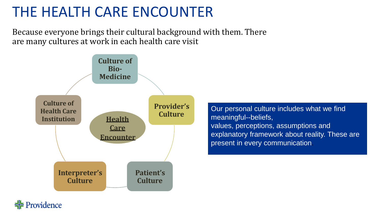## THE HEALTH CARE ENCOUNTER

Because everyone brings their cultural background with them. There are many cultures at work in each health care visit



Our personal culture includes what we find meaningful--beliefs, values, perceptions, assumptions and explanatory framework about reality. These are present in every communication.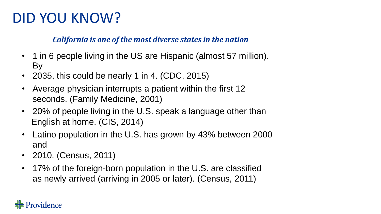### DID YOU KNOW?

*California is one of the most diverse states in the nation*

- 1 in 6 people living in the US are Hispanic (almost 57 million). By
- 2035, this could be nearly 1 in 4. (CDC, 2015)
- Average physician interrupts a patient within the first 12 seconds. (Family Medicine, 2001)
- 20% of people living in the U.S. speak a language other than English at home. (CIS, 2014)
- Latino population in the U.S. has grown by 43% between 2000 and
- 2010. (Census, 2011)
- 17% of the foreign-born population in the U.S. are classified as newly arrived (arriving in 2005 or later). (Census, 2011)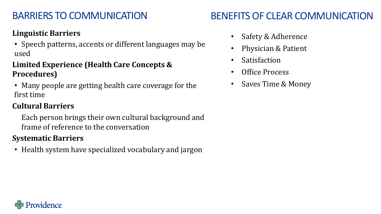### BARRIERS TO COMMUNICATION

#### **Linguistic Barriers**

• Speech patterns, accents or different languages may be used

#### **Limited Experience (Health Care Concepts & Procedures)**

• Many people are getting health care coverage for the first time

#### **Cultural Barriers**

Each person brings their own cultural background and frame of reference to the conversation

#### **Systematic Barriers**

• Health system have specialized vocabulary and jargon

### BENEFITS OF CLEAR COMMUNICATION

- Safety & Adherence
- Physician & Patient
- Satisfaction
- Office Process
- Saves Time & Money

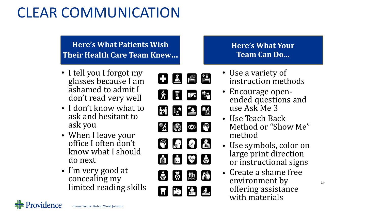### CLEAR COMMUNICATION

#### **Here's What Patients Wish These Islams** Here's What Your **Their Health Care Team Knew…**

- I tell you I forgot my glasses because I am ashamed to admit I don't read very well
- I don't know what to ask and hesitant to ask you
- When I leave your office I often don't know what I should do next
- I'm very good at **AB** B in Paper concealing my limited reading skills



$$
\hat{\Lambda} \quad \boxed{\mathbb{E}} \quad \boxed{\mathbb{E}} \quad \boxed{\mathbb{I}}
$$

$$
\mathbf{M} \geq \mathbf{M}
$$

$$
\mathscr{G}\left( \mathscr{G}\right) \text{ or }\mathscr{G}
$$

$$
\circledcirc \bullet \bullet \bullet \bullet
$$



|--|--|--|

#### $\begin{array}{|c|c|c|}\hline \mathbf{0} & \mathbf{0} & \mathbf{0}\end{array}$

# **Team Can Do…**

- Use a variety of instruction methods
- Encourage openended questions and use Ask Me 3 •
- Use Teach Back Method or "Show Me" method
- Use symbols, color on large print direction or instructional signs
- Create a shame free environment by offering assistance with materials

**14**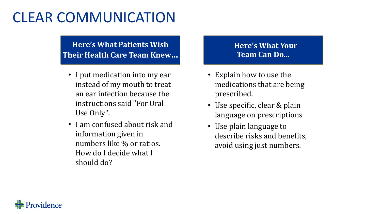### CLEAR COMMUNICATION

#### **Here's What Patients Wish These Islams** Here's What Your **Their Health Care Team Knew…**

- I put medication into my ear instead of my mouth to treat an ear infection because the instructions said "For Oral Use Only".
- I am confused about risk and  $\qquad \bullet$ information given in numbers like % or ratios. How do I decide what I should do?

# **Team Can Do...**

- Explain how to use the medications that are being prescribed.
- Use specific, clear & plain language on prescriptions
- Use plain language to describe risks and benefits, avoid using just numbers.

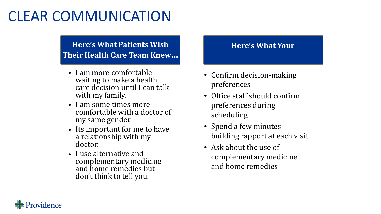### CLEAR COMMUNICATION

#### **Here's What Patients Wish There's What Your Their Health Care Team Knew…**

- I am more comfortable waiting to make a health care decision until I can talk with my family.
- I am some times more comfortable with a doctor of my same gender.
- Its important for me to have a relationship with my doctor.
- I use alternative and complementary medicine and home remedies but don't think to tell you.

- Confirm decision-making preferences
- Office staff should confirm preferences during scheduling
- Spend a few minutes building rapport at each visit
- Ask about the use of complementary medicine and home remedies

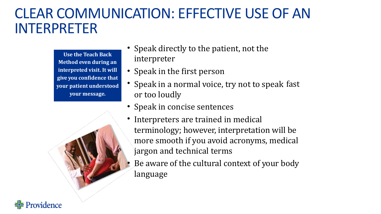### CLEAR COMMUNICATION: EFFECTIVE USE OF AN INTERPRETER

**Use the Teach Back Method even during an interpreted visit. It will give you confidence that your patient understood your message.**

- Speak directly to the patient, not the interpreter
- Speak in the first person
- Speak in a normal voice, try not to speak fast or too loudly
- Speak in concise sentences
- Interpreters are trained in medical terminology; however, interpretation will be more smooth if you avoid acronyms, medical jargon and technical terms
- Be aware of the cultural context of your body language •

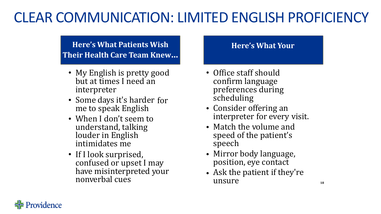### CLEAR COMMUNICATION: LIMITED ENGLISH PROFICIENCY

#### **Here's What Patients Wish There's What Your Their Health Care Team Knew…**

- My English is pretty good but at times I need an interpreter
- Some days it's harder for me to speak English
- When I don't seem to understand, talking louder in English intimidates me
- If I look surprised, confused or upset I may have misinterpreted your nonverbal cues

 $\frac{1}{2}$  Providence

- Office staff should confirm language preferences during scheduling
- Consider offering an interpreter for every visit.
- Match the volume and speed of the patient's speech
- Mirror body language, position, eye contact
- Ask the patient if they're unsure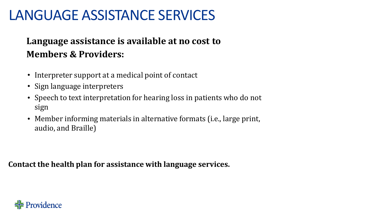### LANGUAGE ASSISTANCE SERVICES

### **Language assistance is available at no cost to Members & Providers:**

- Interpreter support at a medical point of contact
- Sign language interpreters
- Speech to text interpretation for hearing loss in patients who do not sign
- Member informing materials in alternative formats (i.e., large print, audio, and Braille)

**Contact the health plan for assistance with language services.**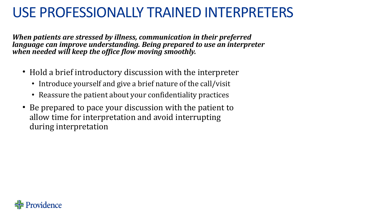### USE PROFESSIONALLY TRAINED INTERPRETERS

*When patients are stressed by illness, communication in their preferred language can improve understanding. Being prepared to use an interpreter when needed will keep the office flow moving smoothly.*

- Hold a brief introductory discussion with the interpreter
	- Introduce yourself and give a brief nature of the call/visit
	- Reassure the patient about your confidentiality practices
- Be prepared to pace your discussion with the patient to allow time for interpretation and avoid interrupting during interpretation

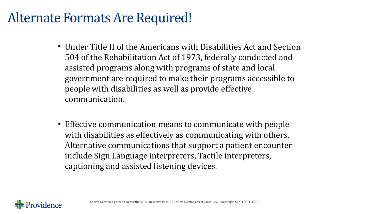### Alternate Formats Are Required!

- Under Title II of the Americans with Disabilities Act and Section 504 of the Rehabilitation Act of 1973, federally conducted and assisted programs along with programs of state and local government are required to make their programs accessible to people with disabilities as well as provide effective communication.
- Effective communication means to communicate with people with disabilities as effectively as communicating with others. Alternative communications that support a patient encounter include Sign Language interpreters, Tactile interpreters, captioning and assisted listening devices.